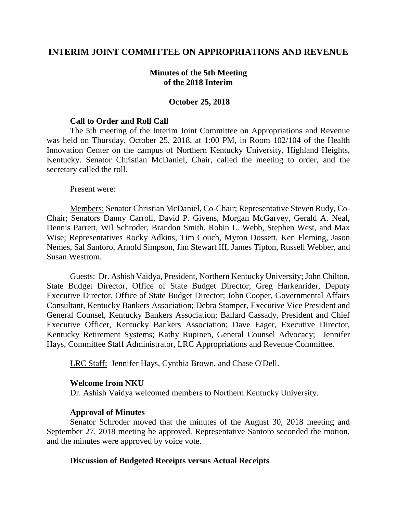# **INTERIM JOINT COMMITTEE ON APPROPRIATIONS AND REVENUE**

### **Minutes of the 5th Meeting of the 2018 Interim**

### **October 25, 2018**

#### **Call to Order and Roll Call**

The 5th meeting of the Interim Joint Committee on Appropriations and Revenue was held on Thursday, October 25, 2018, at 1:00 PM, in Room 102/104 of the Health Innovation Center on the campus of Northern Kentucky University, Highland Heights, Kentucky. Senator Christian McDaniel, Chair, called the meeting to order, and the secretary called the roll.

Present were:

Members: Senator Christian McDaniel, Co-Chair; Representative Steven Rudy, Co-Chair; Senators Danny Carroll, David P. Givens, Morgan McGarvey, Gerald A. Neal, Dennis Parrett, Wil Schroder, Brandon Smith, Robin L. Webb, Stephen West, and Max Wise; Representatives Rocky Adkins, Tim Couch, Myron Dossett, Ken Fleming, Jason Nemes, Sal Santoro, Arnold Simpson, Jim Stewart III, James Tipton, Russell Webber, and Susan Westrom.

Guests: Dr. Ashish Vaidya, President, Northern Kentucky University; John Chilton, State Budget Director, Office of State Budget Director; Greg Harkenrider, Deputy Executive Director, Office of State Budget Director; John Cooper, Governmental Affairs Consultant, Kentucky Bankers Association; Debra Stamper, Executive Vice President and General Counsel, Kentucky Bankers Association; Ballard Cassady, President and Chief Executive Officer, Kentucky Bankers Association; Dave Eager, Executive Director, Kentucky Retirement Systems; Kathy Rupinen, General Counsel Advocacy; Jennifer Hays, Committee Staff Administrator, LRC Appropriations and Revenue Committee.

LRC Staff: Jennifer Hays, Cynthia Brown, and Chase O'Dell.

#### **Welcome from NKU**

Dr. Ashish Vaidya welcomed members to Northern Kentucky University.

### **Approval of Minutes**

Senator Schroder moved that the minutes of the August 30, 2018 meeting and September 27, 2018 meeting be approved. Representative Santoro seconded the motion, and the minutes were approved by voice vote.

#### **Discussion of Budgeted Receipts versus Actual Receipts**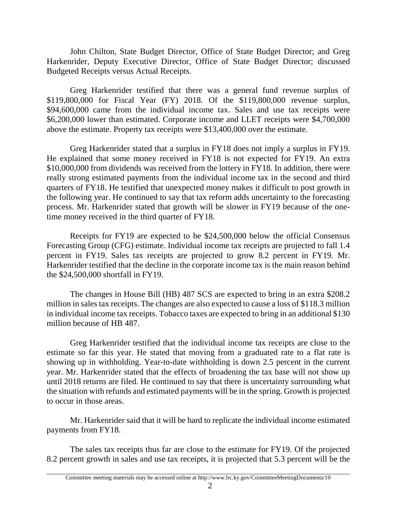John Chilton, State Budget Director, Office of State Budget Director; and Greg Harkenrider, Deputy Executive Director, Office of State Budget Director; discussed Budgeted Receipts versus Actual Receipts.

Greg Harkenrider testified that there was a general fund revenue surplus of \$119,800,000 for Fiscal Year (FY) 2018. Of the \$119,800,000 revenue surplus, \$94,600,000 came from the individual income tax. Sales and use tax receipts were \$6,200,000 lower than estimated. Corporate income and LLET receipts were \$4,700,000 above the estimate. Property tax receipts were \$13,400,000 over the estimate.

Greg Harkenrider stated that a surplus in FY18 does not imply a surplus in FY19. He explained that some money received in FY18 is not expected for FY19. An extra \$10,000,000 from dividends was received from the lottery in FY18. In addition, there were really strong estimated payments from the individual income tax in the second and third quarters of FY18. He testified that unexpected money makes it difficult to post growth in the following year. He continued to say that tax reform adds uncertainty to the forecasting process. Mr. Harkenrider stated that growth will be slower in FY19 because of the onetime money received in the third quarter of FY18.

Receipts for FY19 are expected to be \$24,500,000 below the official Consensus Forecasting Group (CFG) estimate. Individual income tax receipts are projected to fall 1.4 percent in FY19. Sales tax receipts are projected to grow 8.2 percent in FY19. Mr. Harkenrider testified that the decline in the corporate income tax is the main reason behind the \$24,500,000 shortfall in FY19.

The changes in House Bill (HB) 487 SCS are expected to bring in an extra \$208.2 million in sales tax receipts. The changes are also expected to cause a loss of \$118.3 million in individual income tax receipts. Tobacco taxes are expected to bring in an additional \$130 million because of HB 487.

Greg Harkenrider testified that the individual income tax receipts are close to the estimate so far this year. He stated that moving from a graduated rate to a flat rate is showing up in withholding. Year-to-date withholding is down 2.5 percent in the current year. Mr. Harkenrider stated that the effects of broadening the tax base will not show up until 2018 returns are filed. He continued to say that there is uncertainty surrounding what the situation with refunds and estimated payments will be in the spring. Growth is projected to occur in those areas.

Mr. Harkenrider said that it will be hard to replicate the individual income estimated payments from FY18.

The sales tax receipts thus far are close to the estimate for FY19. Of the projected 8.2 percent growth in sales and use tax receipts, it is projected that 5.3 percent will be the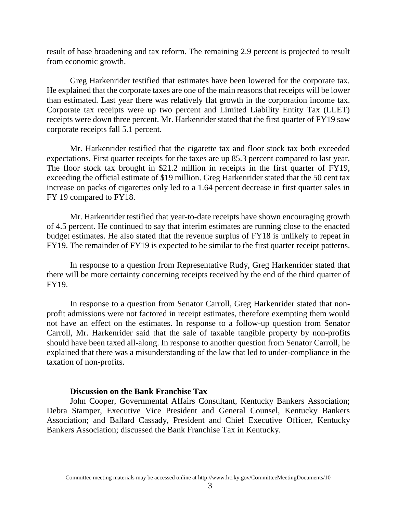result of base broadening and tax reform. The remaining 2.9 percent is projected to result from economic growth.

Greg Harkenrider testified that estimates have been lowered for the corporate tax. He explained that the corporate taxes are one of the main reasons that receipts will be lower than estimated. Last year there was relatively flat growth in the corporation income tax. Corporate tax receipts were up two percent and Limited Liability Entity Tax (LLET) receipts were down three percent. Mr. Harkenrider stated that the first quarter of FY19 saw corporate receipts fall 5.1 percent.

Mr. Harkenrider testified that the cigarette tax and floor stock tax both exceeded expectations. First quarter receipts for the taxes are up 85.3 percent compared to last year. The floor stock tax brought in \$21.2 million in receipts in the first quarter of FY19, exceeding the official estimate of \$19 million. Greg Harkenrider stated that the 50 cent tax increase on packs of cigarettes only led to a 1.64 percent decrease in first quarter sales in FY 19 compared to FY18.

Mr. Harkenrider testified that year-to-date receipts have shown encouraging growth of 4.5 percent. He continued to say that interim estimates are running close to the enacted budget estimates. He also stated that the revenue surplus of FY18 is unlikely to repeat in FY19. The remainder of FY19 is expected to be similar to the first quarter receipt patterns.

In response to a question from Representative Rudy, Greg Harkenrider stated that there will be more certainty concerning receipts received by the end of the third quarter of FY19.

In response to a question from Senator Carroll, Greg Harkenrider stated that nonprofit admissions were not factored in receipt estimates, therefore exempting them would not have an effect on the estimates. In response to a follow-up question from Senator Carroll, Mr. Harkenrider said that the sale of taxable tangible property by non-profits should have been taxed all-along. In response to another question from Senator Carroll, he explained that there was a misunderstanding of the law that led to under-compliance in the taxation of non-profits.

### **Discussion on the Bank Franchise Tax**

John Cooper, Governmental Affairs Consultant, Kentucky Bankers Association; Debra Stamper, Executive Vice President and General Counsel, Kentucky Bankers Association; and Ballard Cassady, President and Chief Executive Officer, Kentucky Bankers Association; discussed the Bank Franchise Tax in Kentucky.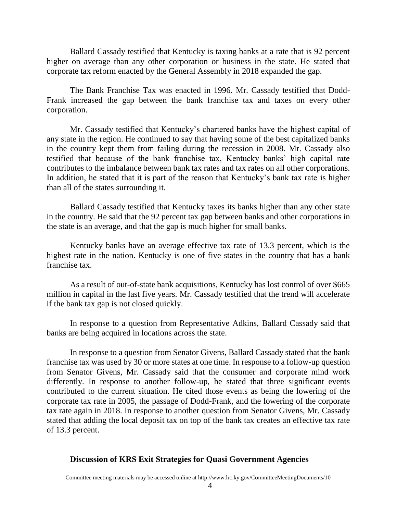Ballard Cassady testified that Kentucky is taxing banks at a rate that is 92 percent higher on average than any other corporation or business in the state. He stated that corporate tax reform enacted by the General Assembly in 2018 expanded the gap.

The Bank Franchise Tax was enacted in 1996. Mr. Cassady testified that Dodd-Frank increased the gap between the bank franchise tax and taxes on every other corporation.

Mr. Cassady testified that Kentucky's chartered banks have the highest capital of any state in the region. He continued to say that having some of the best capitalized banks in the country kept them from failing during the recession in 2008. Mr. Cassady also testified that because of the bank franchise tax, Kentucky banks' high capital rate contributes to the imbalance between bank tax rates and tax rates on all other corporations. In addition, he stated that it is part of the reason that Kentucky's bank tax rate is higher than all of the states surrounding it.

Ballard Cassady testified that Kentucky taxes its banks higher than any other state in the country. He said that the 92 percent tax gap between banks and other corporations in the state is an average, and that the gap is much higher for small banks.

Kentucky banks have an average effective tax rate of 13.3 percent, which is the highest rate in the nation. Kentucky is one of five states in the country that has a bank franchise tax.

As a result of out-of-state bank acquisitions, Kentucky has lost control of over \$665 million in capital in the last five years. Mr. Cassady testified that the trend will accelerate if the bank tax gap is not closed quickly.

In response to a question from Representative Adkins, Ballard Cassady said that banks are being acquired in locations across the state.

In response to a question from Senator Givens, Ballard Cassady stated that the bank franchise tax was used by 30 or more states at one time. In response to a follow-up question from Senator Givens, Mr. Cassady said that the consumer and corporate mind work differently. In response to another follow-up, he stated that three significant events contributed to the current situation. He cited those events as being the lowering of the corporate tax rate in 2005, the passage of Dodd-Frank, and the lowering of the corporate tax rate again in 2018. In response to another question from Senator Givens, Mr. Cassady stated that adding the local deposit tax on top of the bank tax creates an effective tax rate of 13.3 percent.

# **Discussion of KRS Exit Strategies for Quasi Government Agencies**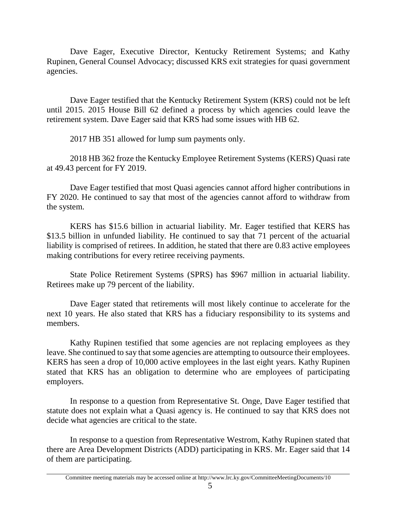Dave Eager, Executive Director, Kentucky Retirement Systems; and Kathy Rupinen, General Counsel Advocacy; discussed KRS exit strategies for quasi government agencies.

Dave Eager testified that the Kentucky Retirement System (KRS) could not be left until 2015. 2015 House Bill 62 defined a process by which agencies could leave the retirement system. Dave Eager said that KRS had some issues with HB 62.

2017 HB 351 allowed for lump sum payments only.

2018 HB 362 froze the Kentucky Employee Retirement Systems (KERS) Quasi rate at 49.43 percent for FY 2019.

Dave Eager testified that most Quasi agencies cannot afford higher contributions in FY 2020. He continued to say that most of the agencies cannot afford to withdraw from the system.

KERS has \$15.6 billion in actuarial liability. Mr. Eager testified that KERS has \$13.5 billion in unfunded liability. He continued to say that 71 percent of the actuarial liability is comprised of retirees. In addition, he stated that there are 0.83 active employees making contributions for every retiree receiving payments.

State Police Retirement Systems (SPRS) has \$967 million in actuarial liability. Retirees make up 79 percent of the liability.

Dave Eager stated that retirements will most likely continue to accelerate for the next 10 years. He also stated that KRS has a fiduciary responsibility to its systems and members.

Kathy Rupinen testified that some agencies are not replacing employees as they leave. She continued to say that some agencies are attempting to outsource their employees. KERS has seen a drop of 10,000 active employees in the last eight years. Kathy Rupinen stated that KRS has an obligation to determine who are employees of participating employers.

In response to a question from Representative St. Onge, Dave Eager testified that statute does not explain what a Quasi agency is. He continued to say that KRS does not decide what agencies are critical to the state.

In response to a question from Representative Westrom, Kathy Rupinen stated that there are Area Development Districts (ADD) participating in KRS. Mr. Eager said that 14 of them are participating.

Committee meeting materials may be accessed online at http://www.lrc.ky.gov/CommitteeMeetingDocuments/10